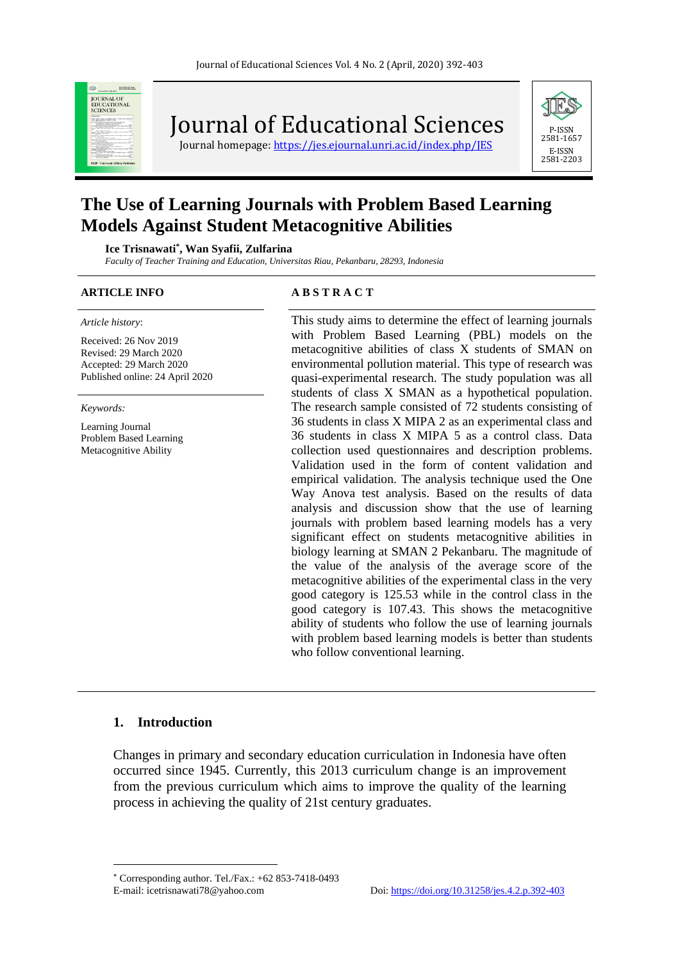

Journal of Educational Sciences

Journal homepage: https://jes.ejournal.unri.ac.id/index.php/IES



# **The Use of Learning Journals with Problem Based Learning Models Against Student Metacognitive Abilities**

**Ice Trisnawati\* , Wan Syafii, Zulfarina**

*Faculty of Teacher Training and Education, Universitas Riau, Pekanbaru, 28293, Indonesia*

*Article history*:

Received: 26 Nov 2019 Revised: 29 March 2020 Accepted: 29 March 2020 Published online: 24 April 2020

*Keywords:*

Learning Journal Problem Based Learning Metacognitive Ability

#### **ARTICLE INFO A B S T R A C T**

This study aims to determine the effect of learning journals with Problem Based Learning (PBL) models on the metacognitive abilities of class X students of SMAN on environmental pollution material. This type of research was quasi-experimental research. The study population was all students of class X SMAN as a hypothetical population. The research sample consisted of 72 students consisting of 36 students in class X MIPA 2 as an experimental class and 36 students in class X MIPA 5 as a control class. Data collection used questionnaires and description problems. Validation used in the form of content validation and empirical validation. The analysis technique used the One Way Anova test analysis. Based on the results of data analysis and discussion show that the use of learning journals with problem based learning models has a very significant effect on students metacognitive abilities in biology learning at SMAN 2 Pekanbaru. The magnitude of the value of the analysis of the average score of the metacognitive abilities of the experimental class in the very good category is 125.53 while in the control class in the good category is 107.43. This shows the metacognitive ability of students who follow the use of learning journals with problem based learning models is better than students who follow conventional learning.

# **1. Introduction**

Changes in primary and secondary education curriculation in Indonesia have often occurred since 1945. Currently, this 2013 curriculum change is an improvement from the previous curriculum which aims to improve the quality of the learning process in achieving the quality of 21st century graduates.

Corresponding author. Tel./Fax.: +62 853-7418-0493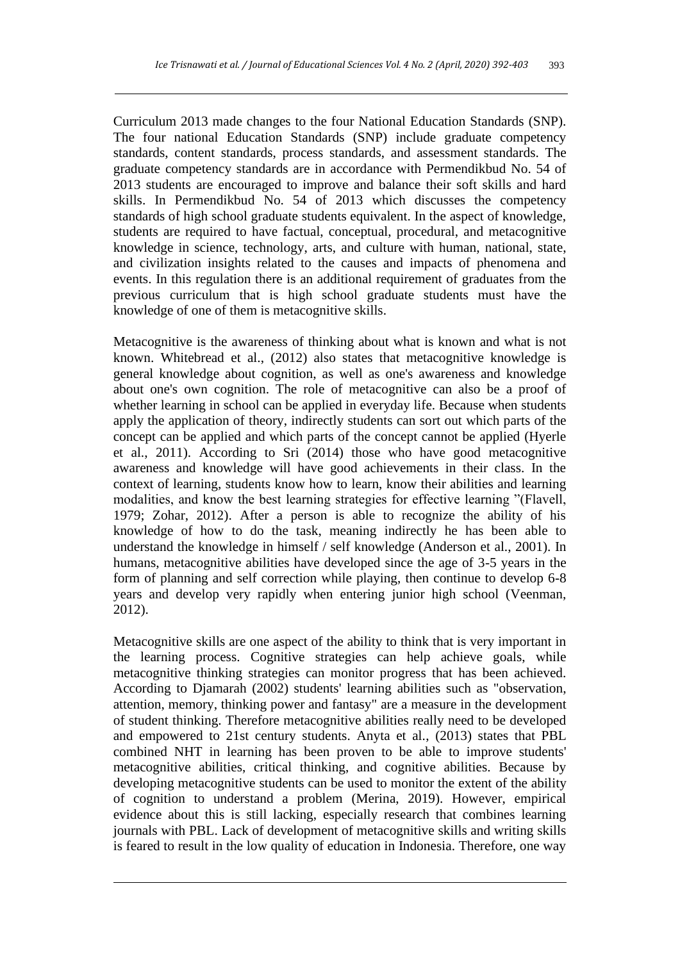Curriculum 2013 made changes to the four National Education Standards (SNP). The four national Education Standards (SNP) include graduate competency standards, content standards, process standards, and assessment standards. The graduate competency standards are in accordance with Permendikbud No. 54 of 2013 students are encouraged to improve and balance their soft skills and hard skills. In Permendikbud No. 54 of 2013 which discusses the competency standards of high school graduate students equivalent. In the aspect of knowledge, students are required to have factual, conceptual, procedural, and metacognitive knowledge in science, technology, arts, and culture with human, national, state, and civilization insights related to the causes and impacts of phenomena and events. In this regulation there is an additional requirement of graduates from the previous curriculum that is high school graduate students must have the knowledge of one of them is metacognitive skills.

Metacognitive is the awareness of thinking about what is known and what is not known. Whitebread et al., (2012) also states that metacognitive knowledge is general knowledge about cognition, as well as one's awareness and knowledge about one's own cognition. The role of metacognitive can also be a proof of whether learning in school can be applied in everyday life. Because when students apply the application of theory, indirectly students can sort out which parts of the concept can be applied and which parts of the concept cannot be applied (Hyerle et al., 2011). According to Sri (2014) those who have good metacognitive awareness and knowledge will have good achievements in their class. In the context of learning, students know how to learn, know their abilities and learning modalities, and know the best learning strategies for effective learning "(Flavell, 1979; Zohar, 2012). After a person is able to recognize the ability of his knowledge of how to do the task, meaning indirectly he has been able to understand the knowledge in himself / self knowledge (Anderson et al., 2001). In humans, metacognitive abilities have developed since the age of 3-5 years in the form of planning and self correction while playing, then continue to develop 6-8 years and develop very rapidly when entering junior high school (Veenman, 2012).

Metacognitive skills are one aspect of the ability to think that is very important in the learning process. Cognitive strategies can help achieve goals, while metacognitive thinking strategies can monitor progress that has been achieved. According to Djamarah (2002) students' learning abilities such as "observation, attention, memory, thinking power and fantasy" are a measure in the development of student thinking. Therefore metacognitive abilities really need to be developed and empowered to 21st century students. Anyta et al., (2013) states that PBL combined NHT in learning has been proven to be able to improve students' metacognitive abilities, critical thinking, and cognitive abilities. Because by developing metacognitive students can be used to monitor the extent of the ability of cognition to understand a problem (Merina, 2019). However, empirical evidence about this is still lacking, especially research that combines learning journals with PBL. Lack of development of metacognitive skills and writing skills is feared to result in the low quality of education in Indonesia. Therefore, one way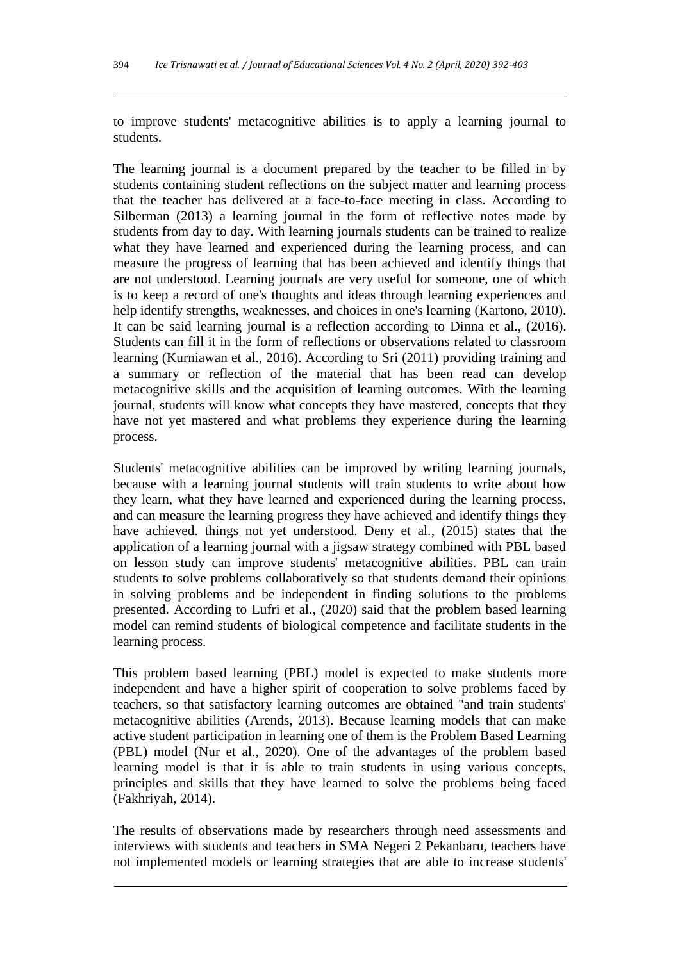to improve students' metacognitive abilities is to apply a learning journal to students.

The learning journal is a document prepared by the teacher to be filled in by students containing student reflections on the subject matter and learning process that the teacher has delivered at a face-to-face meeting in class. According to Silberman (2013) a learning journal in the form of reflective notes made by students from day to day. With learning journals students can be trained to realize what they have learned and experienced during the learning process, and can measure the progress of learning that has been achieved and identify things that are not understood. Learning journals are very useful for someone, one of which is to keep a record of one's thoughts and ideas through learning experiences and help identify strengths, weaknesses, and choices in one's learning (Kartono, 2010). It can be said learning journal is a reflection according to Dinna et al., (2016). Students can fill it in the form of reflections or observations related to classroom learning (Kurniawan et al., 2016). According to Sri (2011) providing training and a summary or reflection of the material that has been read can develop metacognitive skills and the acquisition of learning outcomes. With the learning journal, students will know what concepts they have mastered, concepts that they have not yet mastered and what problems they experience during the learning process.

Students' metacognitive abilities can be improved by writing learning journals, because with a learning journal students will train students to write about how they learn, what they have learned and experienced during the learning process, and can measure the learning progress they have achieved and identify things they have achieved. things not yet understood. Deny et al., (2015) states that the application of a learning journal with a jigsaw strategy combined with PBL based on lesson study can improve students' metacognitive abilities. PBL can train students to solve problems collaboratively so that students demand their opinions in solving problems and be independent in finding solutions to the problems presented. According to Lufri et al., (2020) said that the problem based learning model can remind students of biological competence and facilitate students in the learning process.

This problem based learning (PBL) model is expected to make students more independent and have a higher spirit of cooperation to solve problems faced by teachers, so that satisfactory learning outcomes are obtained "and train students' metacognitive abilities (Arends, 2013). Because learning models that can make active student participation in learning one of them is the Problem Based Learning (PBL) model (Nur et al., 2020). One of the advantages of the problem based learning model is that it is able to train students in using various concepts, principles and skills that they have learned to solve the problems being faced (Fakhriyah, 2014).

The results of observations made by researchers through need assessments and interviews with students and teachers in SMA Negeri 2 Pekanbaru, teachers have not implemented models or learning strategies that are able to increase students'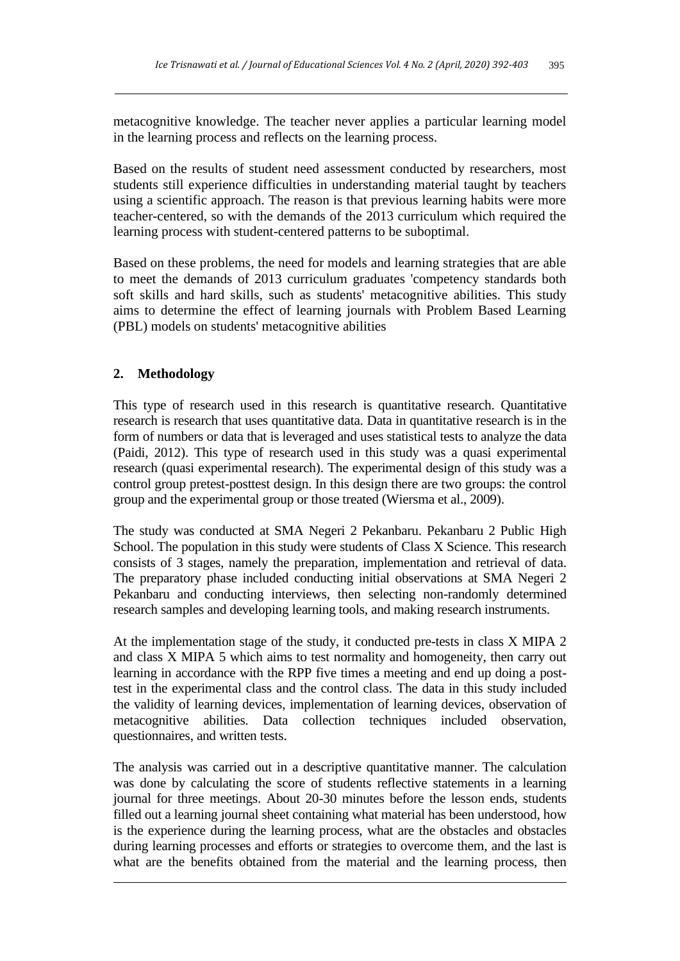metacognitive knowledge. The teacher never applies a particular learning model in the learning process and reflects on the learning process.

Based on the results of student need assessment conducted by researchers, most students still experience difficulties in understanding material taught by teachers using a scientific approach. The reason is that previous learning habits were more teacher-centered, so with the demands of the 2013 curriculum which required the learning process with student-centered patterns to be suboptimal.

Based on these problems, the need for models and learning strategies that are able to meet the demands of 2013 curriculum graduates 'competency standards both soft skills and hard skills, such as students' metacognitive abilities. This study aims to determine the effect of learning journals with Problem Based Learning (PBL) models on students' metacognitive abilities

# **2. Methodology**

This type of research used in this research is quantitative research. Quantitative research is research that uses quantitative data. Data in quantitative research is in the form of numbers or data that is leveraged and uses statistical tests to analyze the data (Paidi, 2012). This type of research used in this study was a quasi experimental research (quasi experimental research). The experimental design of this study was a control group pretest-posttest design. In this design there are two groups: the control group and the experimental group or those treated (Wiersma et al., 2009).

The study was conducted at SMA Negeri 2 Pekanbaru. Pekanbaru 2 Public High School. The population in this study were students of Class X Science. This research consists of 3 stages, namely the preparation, implementation and retrieval of data. The preparatory phase included conducting initial observations at SMA Negeri 2 Pekanbaru and conducting interviews, then selecting non-randomly determined research samples and developing learning tools, and making research instruments.

At the implementation stage of the study, it conducted pre-tests in class X MIPA 2 and class X MIPA 5 which aims to test normality and homogeneity, then carry out learning in accordance with the RPP five times a meeting and end up doing a posttest in the experimental class and the control class. The data in this study included the validity of learning devices, implementation of learning devices, observation of metacognitive abilities. Data collection techniques included observation, questionnaires, and written tests.

The analysis was carried out in a descriptive quantitative manner. The calculation was done by calculating the score of students reflective statements in a learning journal for three meetings. About 20-30 minutes before the lesson ends, students filled out a learning journal sheet containing what material has been understood, how is the experience during the learning process, what are the obstacles and obstacles during learning processes and efforts or strategies to overcome them, and the last is what are the benefits obtained from the material and the learning process, then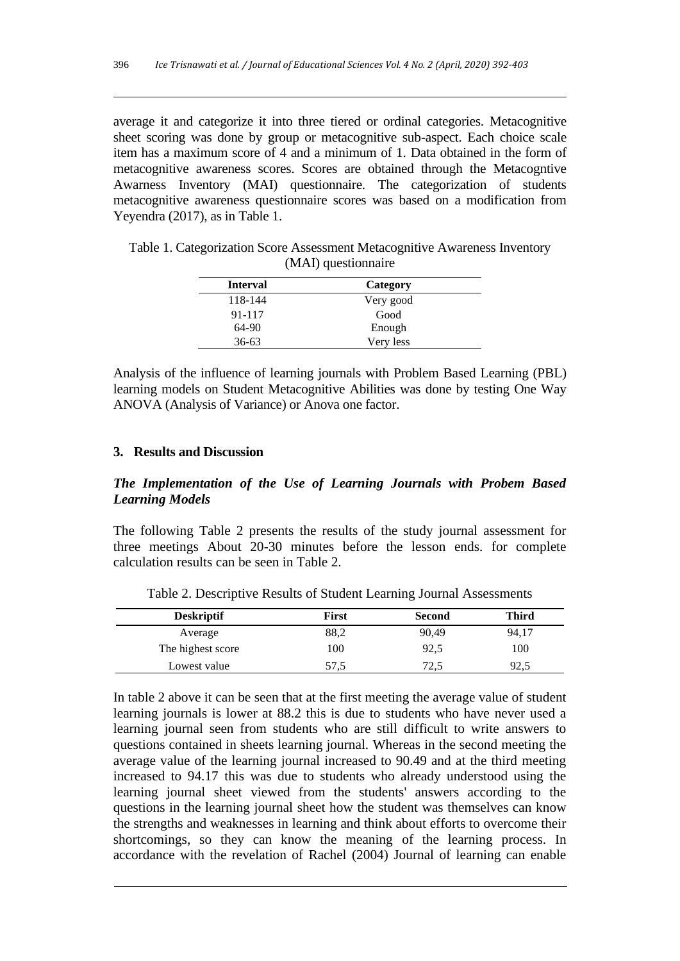average it and categorize it into three tiered or ordinal categories. Metacognitive sheet scoring was done by group or metacognitive sub-aspect. Each choice scale item has a maximum score of 4 and a minimum of 1. Data obtained in the form of metacognitive awareness scores. Scores are obtained through the Metacogntive Awarness Inventory (MAI) questionnaire. The categorization of students metacognitive awareness questionnaire scores was based on a modification from Yeyendra (2017), as in Table 1.

| <b>Interval</b> | Category  |  |
|-----------------|-----------|--|
| 118-144         | Very good |  |
| 91-117          | Good      |  |
| 64-90           | Enough    |  |
| $36 - 63$       | Very less |  |

Table 1. Categorization Score Assessment Metacognitive Awareness Inventory (MAI) questionnaire

Analysis of the influence of learning journals with Problem Based Learning (PBL) learning models on Student Metacognitive Abilities was done by testing One Way ANOVA (Analysis of Variance) or Anova one factor.

#### **3. Results and Discussion**

# *The Implementation of the Use of Learning Journals with Probem Based Learning Models*

The following Table 2 presents the results of the study journal assessment for three meetings About 20-30 minutes before the lesson ends. for complete calculation results can be seen in Table 2.

| <b>Deskriptif</b> | First | Second | <b>Third</b> |
|-------------------|-------|--------|--------------|
| Average           | 88,2  | 90,49  | 94,17        |
| The highest score | 100   | 92,5   | 100          |
| Lowest value      | 57,5  | 72,5   | 92,5         |

Table 2. Descriptive Results of Student Learning Journal Assessments

In table 2 above it can be seen that at the first meeting the average value of student learning journals is lower at 88.2 this is due to students who have never used a learning journal seen from students who are still difficult to write answers to questions contained in sheets learning journal. Whereas in the second meeting the average value of the learning journal increased to 90.49 and at the third meeting increased to 94.17 this was due to students who already understood using the learning journal sheet viewed from the students' answers according to the questions in the learning journal sheet how the student was themselves can know the strengths and weaknesses in learning and think about efforts to overcome their shortcomings, so they can know the meaning of the learning process. In accordance with the revelation of Rachel (2004) Journal of learning can enable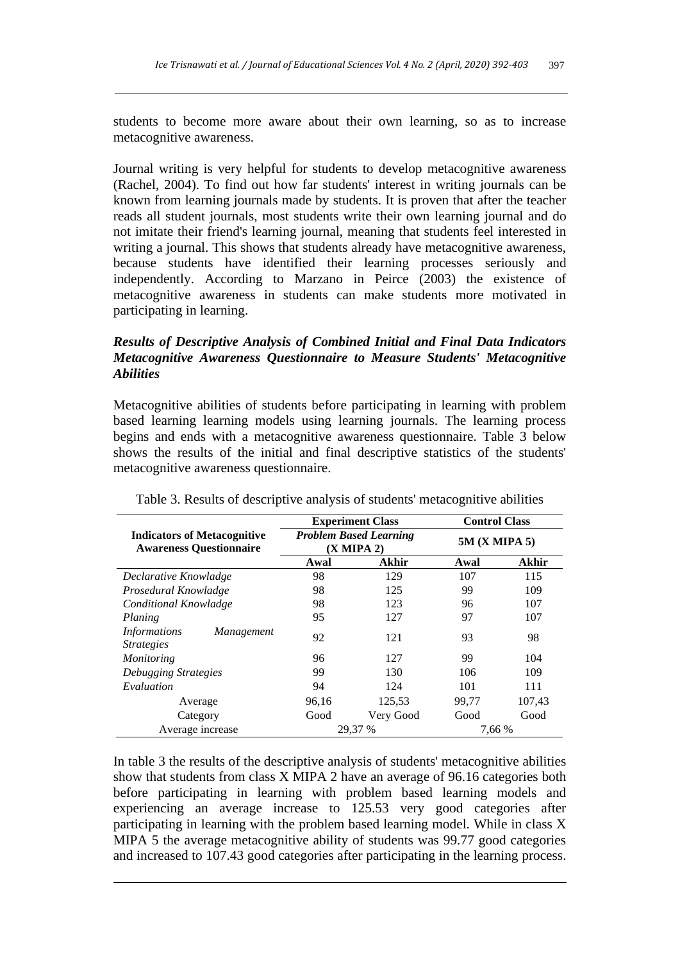students to become more aware about their own learning, so as to increase metacognitive awareness.

Journal writing is very helpful for students to develop metacognitive awareness (Rachel, 2004). To find out how far students' interest in writing journals can be known from learning journals made by students. It is proven that after the teacher reads all student journals, most students write their own learning journal and do not imitate their friend's learning journal, meaning that students feel interested in writing a journal. This shows that students already have metacognitive awareness, because students have identified their learning processes seriously and independently. According to Marzano in Peirce (2003) the existence of metacognitive awareness in students can make students more motivated in participating in learning.

# *Results of Descriptive Analysis of Combined Initial and Final Data Indicators Metacognitive Awareness Questionnaire to Measure Students' Metacognitive Abilities*

Metacognitive abilities of students before participating in learning with problem based learning learning models using learning journals. The learning process begins and ends with a metacognitive awareness questionnaire. Table 3 below shows the results of the initial and final descriptive statistics of the students' metacognitive awareness questionnaire.

|                                                                      | <b>Experiment Class</b>                     |              | <b>Control Class</b> |              |
|----------------------------------------------------------------------|---------------------------------------------|--------------|----------------------|--------------|
| <b>Indicators of Metacognitive</b><br><b>Awareness Questionnaire</b> | <b>Problem Based Learning</b><br>(X MIPA 2) |              | 5M (X MIPA 5)        |              |
|                                                                      | Awal                                        | <b>Akhir</b> | Awal                 | <b>Akhir</b> |
| Declarative Knowladge                                                | 98                                          | 129          | 107                  | 115          |
| Prosedural Knowladge                                                 | 98                                          | 125          | 99                   | 109          |
| Conditional Knowladge                                                | 98                                          | 123          | 96                   | 107          |
| Planing                                                              | 95                                          | 127          | 97                   | 107          |
| <i>Informations</i><br>Management<br><i>Strategies</i>               | 92                                          | 121          | 93                   | 98           |
| Monitoring                                                           | 96                                          | 127          | 99                   | 104          |
| Debugging Strategies                                                 | 99                                          | 130          | 106                  | 109          |
| Evaluation                                                           | 94                                          | 124          | 101                  | 111          |
| Average                                                              | 96,16                                       | 125,53       | 99,77                | 107,43       |
| Category                                                             | Good                                        | Very Good    | Good                 | Good         |
| Average increase                                                     |                                             | 29.37 %      | 7,66 %               |              |

Table 3. Results of descriptive analysis of students' metacognitive abilities

In table 3 the results of the descriptive analysis of students' metacognitive abilities show that students from class X MIPA 2 have an average of 96.16 categories both before participating in learning with problem based learning models and experiencing an average increase to 125.53 very good categories after participating in learning with the problem based learning model. While in class X MIPA 5 the average metacognitive ability of students was 99.77 good categories and increased to 107.43 good categories after participating in the learning process.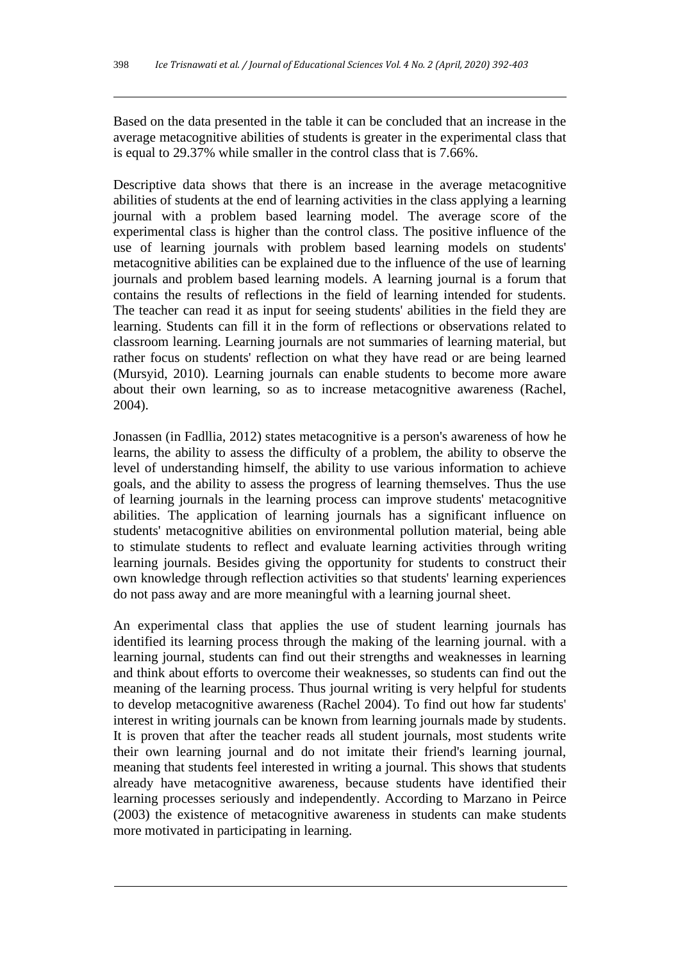Based on the data presented in the table it can be concluded that an increase in the average metacognitive abilities of students is greater in the experimental class that is equal to 29.37% while smaller in the control class that is 7.66%.

Descriptive data shows that there is an increase in the average metacognitive abilities of students at the end of learning activities in the class applying a learning journal with a problem based learning model. The average score of the experimental class is higher than the control class. The positive influence of the use of learning journals with problem based learning models on students' metacognitive abilities can be explained due to the influence of the use of learning journals and problem based learning models. A learning journal is a forum that contains the results of reflections in the field of learning intended for students. The teacher can read it as input for seeing students' abilities in the field they are learning. Students can fill it in the form of reflections or observations related to classroom learning. Learning journals are not summaries of learning material, but rather focus on students' reflection on what they have read or are being learned (Mursyid, 2010). Learning journals can enable students to become more aware about their own learning, so as to increase metacognitive awareness (Rachel, 2004).

Jonassen (in Fadllia, 2012) states metacognitive is a person's awareness of how he learns, the ability to assess the difficulty of a problem, the ability to observe the level of understanding himself, the ability to use various information to achieve goals, and the ability to assess the progress of learning themselves. Thus the use of learning journals in the learning process can improve students' metacognitive abilities. The application of learning journals has a significant influence on students' metacognitive abilities on environmental pollution material, being able to stimulate students to reflect and evaluate learning activities through writing learning journals. Besides giving the opportunity for students to construct their own knowledge through reflection activities so that students' learning experiences do not pass away and are more meaningful with a learning journal sheet.

An experimental class that applies the use of student learning journals has identified its learning process through the making of the learning journal. with a learning journal, students can find out their strengths and weaknesses in learning and think about efforts to overcome their weaknesses, so students can find out the meaning of the learning process. Thus journal writing is very helpful for students to develop metacognitive awareness (Rachel 2004). To find out how far students' interest in writing journals can be known from learning journals made by students. It is proven that after the teacher reads all student journals, most students write their own learning journal and do not imitate their friend's learning journal, meaning that students feel interested in writing a journal. This shows that students already have metacognitive awareness, because students have identified their learning processes seriously and independently. According to Marzano in Peirce (2003) the existence of metacognitive awareness in students can make students more motivated in participating in learning.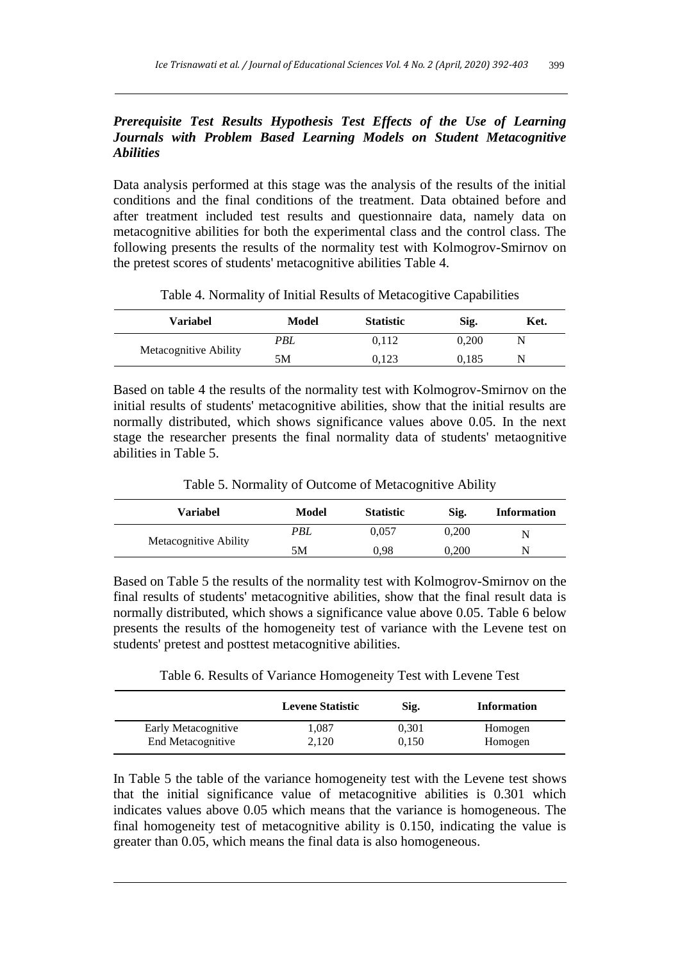# *Prerequisite Test Results Hypothesis Test Effects of the Use of Learning Journals with Problem Based Learning Models on Student Metacognitive Abilities*

Data analysis performed at this stage was the analysis of the results of the initial conditions and the final conditions of the treatment. Data obtained before and after treatment included test results and questionnaire data, namely data on metacognitive abilities for both the experimental class and the control class. The following presents the results of the normality test with Kolmogrov-Smirnov on the pretest scores of students' metacognitive abilities Table 4.

| <b>Variabel</b>       | Model | <b>Statistic</b> | Sig.  | Ket. |
|-----------------------|-------|------------------|-------|------|
| Metacognitive Ability | PBL   | 0.112            | 0.200 |      |
|                       | 5Μ    | 0.123            | 0.185 | N    |

Table 4. Normality of Initial Results of Metacogitive Capabilities

Based on table 4 the results of the normality test with Kolmogrov-Smirnov on the initial results of students' metacognitive abilities, show that the initial results are normally distributed, which shows significance values above 0.05. In the next stage the researcher presents the final normality data of students' metaognitive abilities in Table 5.

Table 5. Normality of Outcome of Metacognitive Ability

| Variabel              | Model      | <b>Statistic</b> | Sig.  | <b>Information</b> |
|-----------------------|------------|------------------|-------|--------------------|
| Metacognitive Ability | <b>PBL</b> | 0.057            | 0.200 | N                  |
|                       | 5Μ         | 0.98             | 0.200 | N                  |

Based on Table 5 the results of the normality test with Kolmogrov-Smirnov on the final results of students' metacognitive abilities, show that the final result data is normally distributed, which shows a significance value above 0.05. Table 6 below presents the results of the homogeneity test of variance with the Levene test on students' pretest and posttest metacognitive abilities.

Table 6. Results of Variance Homogeneity Test with Levene Test

|                     | <b>Levene Statistic</b> | Sig.  | <b>Information</b> |
|---------------------|-------------------------|-------|--------------------|
| Early Metacognitive | l.087                   | 0.301 | Homogen            |
| End Metacognitive   | 2,120                   | 0.150 | Homogen            |

In Table 5 the table of the variance homogeneity test with the Levene test shows that the initial significance value of metacognitive abilities is 0.301 which indicates values above 0.05 which means that the variance is homogeneous. The final homogeneity test of metacognitive ability is 0.150, indicating the value is greater than 0.05, which means the final data is also homogeneous.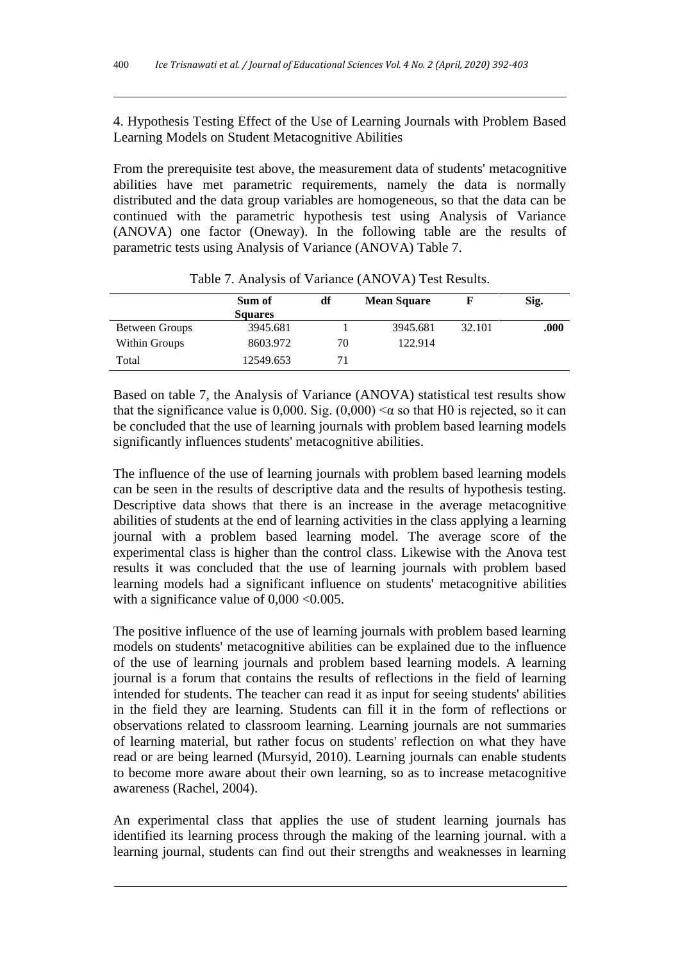4. Hypothesis Testing Effect of the Use of Learning Journals with Problem Based Learning Models on Student Metacognitive Abilities

From the prerequisite test above, the measurement data of students' metacognitive abilities have met parametric requirements, namely the data is normally distributed and the data group variables are homogeneous, so that the data can be continued with the parametric hypothesis test using Analysis of Variance (ANOVA) one factor (Oneway). In the following table are the results of parametric tests using Analysis of Variance (ANOVA) Table 7.

|                | Sum of<br><b>Squares</b> | df | <b>Mean Square</b> |        | Sig. |
|----------------|--------------------------|----|--------------------|--------|------|
| Between Groups | 3945.681                 |    | 3945.681           | 32.101 | .000 |
| Within Groups  | 8603.972                 | 70 | 122.914            |        |      |
| Total          | 12549.653                |    |                    |        |      |

Table 7. Analysis of Variance (ANOVA) Test Results.

Based on table 7, the Analysis of Variance (ANOVA) statistical test results show that the significance value is 0,000. Sig.  $(0,000) < \alpha$  so that H0 is rejected, so it can be concluded that the use of learning journals with problem based learning models significantly influences students' metacognitive abilities.

The influence of the use of learning journals with problem based learning models can be seen in the results of descriptive data and the results of hypothesis testing. Descriptive data shows that there is an increase in the average metacognitive abilities of students at the end of learning activities in the class applying a learning journal with a problem based learning model. The average score of the experimental class is higher than the control class. Likewise with the Anova test results it was concluded that the use of learning journals with problem based learning models had a significant influence on students' metacognitive abilities with a significance value of  $0,000 < 0.005$ .

The positive influence of the use of learning journals with problem based learning models on students' metacognitive abilities can be explained due to the influence of the use of learning journals and problem based learning models. A learning journal is a forum that contains the results of reflections in the field of learning intended for students. The teacher can read it as input for seeing students' abilities in the field they are learning. Students can fill it in the form of reflections or observations related to classroom learning. Learning journals are not summaries of learning material, but rather focus on students' reflection on what they have read or are being learned (Mursyid, 2010). Learning journals can enable students to become more aware about their own learning, so as to increase metacognitive awareness (Rachel, 2004).

An experimental class that applies the use of student learning journals has identified its learning process through the making of the learning journal. with a learning journal, students can find out their strengths and weaknesses in learning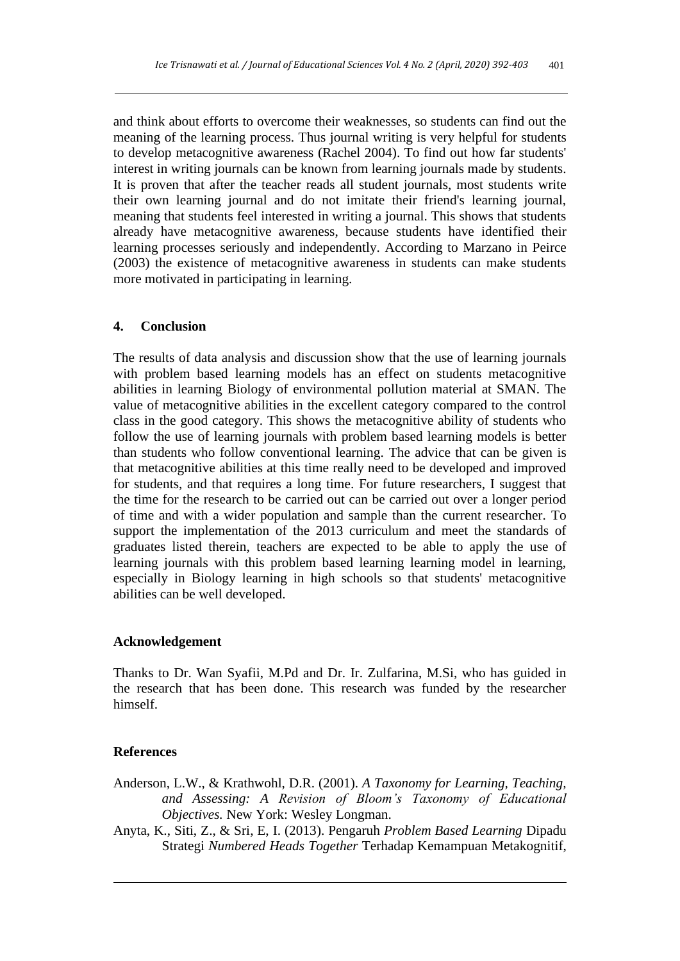and think about efforts to overcome their weaknesses, so students can find out the meaning of the learning process. Thus journal writing is very helpful for students to develop metacognitive awareness (Rachel 2004). To find out how far students' interest in writing journals can be known from learning journals made by students. It is proven that after the teacher reads all student journals, most students write their own learning journal and do not imitate their friend's learning journal, meaning that students feel interested in writing a journal. This shows that students already have metacognitive awareness, because students have identified their learning processes seriously and independently. According to Marzano in Peirce (2003) the existence of metacognitive awareness in students can make students more motivated in participating in learning.

## **4. Conclusion**

The results of data analysis and discussion show that the use of learning journals with problem based learning models has an effect on students metacognitive abilities in learning Biology of environmental pollution material at SMAN. The value of metacognitive abilities in the excellent category compared to the control class in the good category. This shows the metacognitive ability of students who follow the use of learning journals with problem based learning models is better than students who follow conventional learning. The advice that can be given is that metacognitive abilities at this time really need to be developed and improved for students, and that requires a long time. For future researchers, I suggest that the time for the research to be carried out can be carried out over a longer period of time and with a wider population and sample than the current researcher. To support the implementation of the 2013 curriculum and meet the standards of graduates listed therein, teachers are expected to be able to apply the use of learning journals with this problem based learning learning model in learning, especially in Biology learning in high schools so that students' metacognitive abilities can be well developed.

## **Acknowledgement**

Thanks to Dr. Wan Syafii, M.Pd and Dr. Ir. Zulfarina, M.Si, who has guided in the research that has been done. This research was funded by the researcher himself.

#### **References**

- Anderson, L.W., & Krathwohl, D.R. (2001). *A Taxonomy for Learning, Teaching, and Assessing: A Revision of Bloom's Taxonomy of Educational Objectives.* New York: Wesley Longman.
- Anyta, K., Siti, Z., & Sri, E, I. (2013). Pengaruh *Problem Based Learning* Dipadu Strategi *Numbered Heads Together* Terhadap Kemampuan Metakognitif,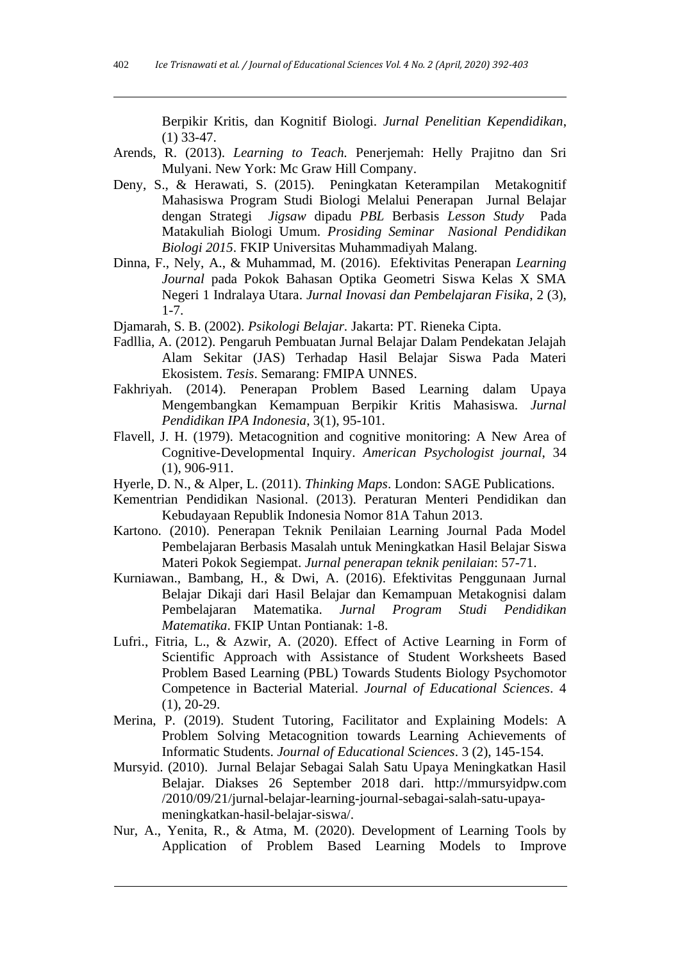Berpikir Kritis, dan Kognitif Biologi. *Jurnal Penelitian Kependidikan*, (1) 33-47.

- Arends, R. (2013). *Learning to Teach.* Penerjemah: Helly Prajitno dan Sri Mulyani. New York: Mc Graw Hill Company.
- Deny, S., & Herawati, S. (2015). Peningkatan Keterampilan Metakognitif Mahasiswa Program Studi Biologi Melalui Penerapan Jurnal Belajar dengan Strategi *Jigsaw* dipadu *PBL* Berbasis *Lesson Study* Pada Matakuliah Biologi Umum. *Prosiding Seminar Nasional Pendidikan Biologi 2015*. FKIP Universitas Muhammadiyah Malang.
- Dinna, F., Nely, A., & Muhammad, M. (2016). Efektivitas Penerapan *Learning Journal* pada Pokok Bahasan Optika Geometri Siswa Kelas X SMA Negeri 1 Indralaya Utara. *Jurnal Inovasi dan Pembelajaran Fisika*, 2 (3), 1-7.
- Djamarah, S. B. (2002). *Psikologi Belajar.* Jakarta: PT. Rieneka Cipta.
- Fadllia, A. (2012). Pengaruh Pembuatan Jurnal Belajar Dalam Pendekatan Jelajah Alam Sekitar (JAS) Terhadap Hasil Belajar Siswa Pada Materi Ekosistem. *Tesis*. Semarang: FMIPA UNNES.
- Fakhriyah. (2014). Penerapan Problem Based Learning dalam Upaya Mengembangkan Kemampuan Berpikir Kritis Mahasiswa. *Jurnal Pendidikan IPA Indonesia*, 3(1), 95-101.
- Flavell, J. H. (1979). Metacognition and cognitive monitoring: A New Area of Cognitive-Developmental Inquiry. *American Psychologist journal*, 34 (1), 906-911.
- Hyerle, D. N., & Alper, L. (2011). *Thinking Maps*. London: SAGE Publications.
- Kementrian Pendidikan Nasional. (2013). Peraturan Menteri Pendidikan dan Kebudayaan Republik Indonesia Nomor 81A Tahun 2013.
- Kartono. (2010). Penerapan Teknik Penilaian Learning Journal Pada Model Pembelajaran Berbasis Masalah untuk Meningkatkan Hasil Belajar Siswa Materi Pokok Segiempat. *Jurnal penerapan teknik penilaian*: 57-71.
- Kurniawan., Bambang, H., & Dwi, A. (2016). Efektivitas Penggunaan Jurnal Belajar Dikaji dari Hasil Belajar dan Kemampuan Metakognisi dalam<br>Pembelajaran Matematika. Jurnal Program Studi Pendidikan Pembelajaran Matematika. *Jurnal Program Studi Pendidikan Matematika*. FKIP Untan Pontianak: 1-8.
- Lufri., Fitria, L., & Azwir, A. (2020). Effect of Active Learning in Form of Scientific Approach with Assistance of Student Worksheets Based Problem Based Learning (PBL) Towards Students Biology Psychomotor Competence in Bacterial Material. *Journal of Educational Sciences*. 4 (1), 20-29.
- Merina, P. (2019). Student Tutoring, Facilitator and Explaining Models: A Problem Solving Metacognition towards Learning Achievements of Informatic Students. *Journal of Educational Sciences*. 3 (2), 145-154.
- Mursyid. (2010). Jurnal Belajar Sebagai Salah Satu Upaya Meningkatkan Hasil Belajar*.* Diakses 26 September 2018 dari. [http://mmursyidpw.com](http://mmursyidpw.com/) /2010/09/21/jurnal-belajar-learning-journal-sebagai-salah-satu-upayameningkatkan-hasil-belajar-siswa/.
- Nur, A., Yenita, R., & Atma, M. (2020). Development of Learning Tools by Application of Problem Based Learning Models to Improve